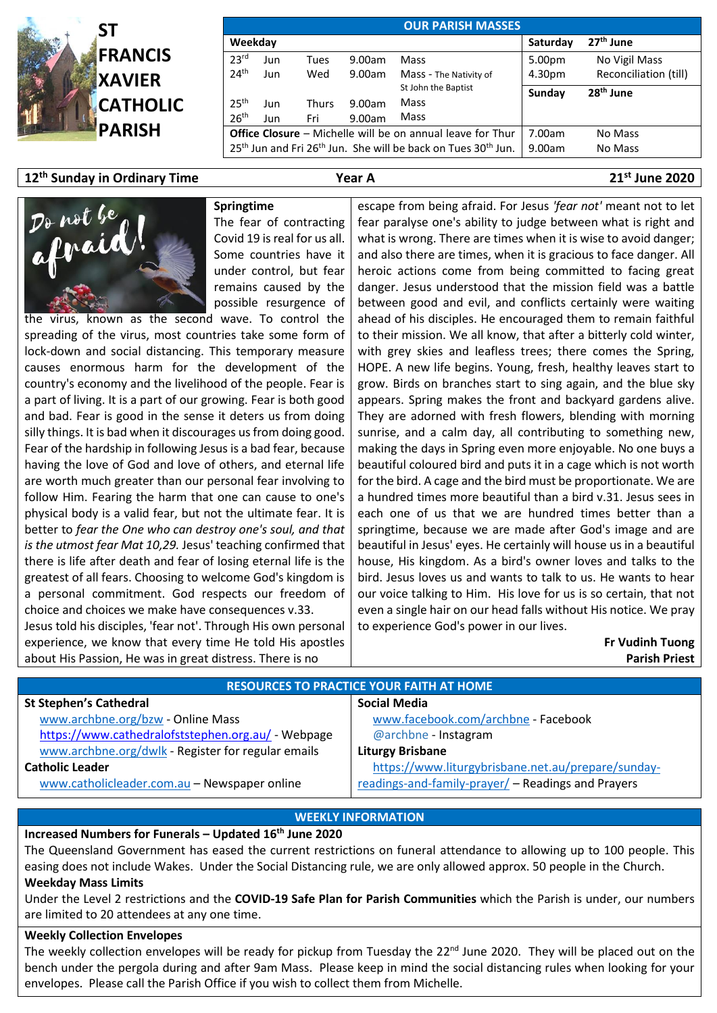

| <b>OUR PARISH MASSES</b> |     |              |                                                                                                   |                        |                       |                       |  |  |  |  |
|--------------------------|-----|--------------|---------------------------------------------------------------------------------------------------|------------------------|-----------------------|-----------------------|--|--|--|--|
| Weekday                  |     |              |                                                                                                   | Saturday               | 27 <sup>th</sup> June |                       |  |  |  |  |
| 23 <sup>rd</sup>         | Jun | Tues         | 9.00am                                                                                            | Mass                   | 5.00pm                | No Vigil Mass         |  |  |  |  |
| 24 <sup>th</sup>         | Jun | Wed          | 9.00am                                                                                            | Mass - The Nativity of | 4.30pm                | Reconciliation (till) |  |  |  |  |
|                          |     |              |                                                                                                   | St John the Baptist    | Sunday                | 28 <sup>th</sup> June |  |  |  |  |
| 25 <sup>th</sup>         | Jun | <b>Thurs</b> | 9.00am                                                                                            | Mass                   |                       |                       |  |  |  |  |
| 26 <sup>th</sup>         | Jun | Fri          | 9.00am                                                                                            | Mass                   |                       |                       |  |  |  |  |
|                          |     |              | <b>Office Closure</b> – Michelle will be on annual leave for Thur                                 | 7.00am                 | No Mass               |                       |  |  |  |  |
|                          |     |              | 25 <sup>th</sup> Jun and Fri 26 <sup>th</sup> Jun. She will be back on Tues 30 <sup>th</sup> Jun. | 9.00am                 | No Mass               |                       |  |  |  |  |

# **12th Sunday in Ordinary Time Year A 21st June 2020**



**Springtime** The fear of contracting Covid 19 is real for us all. Some countries have it under control, but fear remains caused by the possible resurgence of

the virus, known as the second wave. To control the spreading of the virus, most countries take some form of lock-down and social distancing. This temporary measure causes enormous harm for the development of the country's economy and the livelihood of the people. Fear is a part of living. It is a part of our growing. Fear is both good and bad. Fear is good in the sense it deters us from doing silly things. It is bad when it discourages us from doing good. Fear of the hardship in following Jesus is a bad fear, because having the love of God and love of others, and eternal life are worth much greater than our personal fear involving to follow Him. Fearing the harm that one can cause to one's physical body is a valid fear, but not the ultimate fear. It is better to *fear the One who can destroy one's soul, and that is the utmost fear Mat 10,29.* Jesus' teaching confirmed that there is life after death and fear of losing eternal life is the greatest of all fears. Choosing to welcome God's kingdom is a personal commitment. God respects our freedom of choice and choices we make have consequences v.33.

Jesus told his disciples, 'fear not'. Through His own personal experience, we know that every time He told His apostles about His Passion, He was in great distress. There is no

escape from being afraid. For Jesus *'fear not'* meant not to let fear paralyse one's ability to judge between what is right and what is wrong. There are times when it is wise to avoid danger; and also there are times, when it is gracious to face danger. All heroic actions come from being committed to facing great danger. Jesus understood that the mission field was a battle between good and evil, and conflicts certainly were waiting ahead of his disciples. He encouraged them to remain faithful to their mission. We all know, that after a bitterly cold winter, with grey skies and leafless trees; there comes the Spring, HOPE. A new life begins. Young, fresh, healthy leaves start to grow. Birds on branches start to sing again, and the blue sky appears. Spring makes the front and backyard gardens alive. They are adorned with fresh flowers, blending with morning sunrise, and a calm day, all contributing to something new, making the days in Spring even more enjoyable. No one buys a beautiful coloured bird and puts it in a cage which is not worth for the bird. A cage and the bird must be proportionate. We are a hundred times more beautiful than a bird v.31. Jesus sees in each one of us that we are hundred times better than a springtime, because we are made after God's image and are beautiful in Jesus' eyes. He certainly will house us in a beautiful house, His kingdom. As a bird's owner loves and talks to the bird. Jesus loves us and wants to talk to us. He wants to hear our voice talking to Him. His love for us is so certain, that not even a single hair on our head falls without His notice. We pray to experience God's power in our lives.

> **Fr Vudinh Tuong Parish Priest**

| <b>RESOURCES TO PRACTICE YOUR FAITH AT HOME</b>    |                                                    |  |  |  |  |  |
|----------------------------------------------------|----------------------------------------------------|--|--|--|--|--|
| <b>St Stephen's Cathedral</b>                      | <b>Social Media</b>                                |  |  |  |  |  |
| www.archbne.org/bzw - Online Mass                  | www.facebook.com/archbne - Facebook                |  |  |  |  |  |
| https://www.cathedralofststephen.org.au/ - Webpage | @archbne - Instagram                               |  |  |  |  |  |
| www.archbne.org/dwlk - Register for regular emails | <b>Liturgy Brisbane</b>                            |  |  |  |  |  |
| <b>Catholic Leader</b>                             | https://www.liturgybrisbane.net.au/prepare/sunday- |  |  |  |  |  |
| www.catholicleader.com.au - Newspaper online       | readings-and-family-prayer/ - Readings and Prayers |  |  |  |  |  |

#### **WEEKLY INFORMATION**

### **Increased Numbers for Funerals – Updated 16th June 2020**

The Queensland Government has eased the current restrictions on funeral attendance to allowing up to 100 people. This easing does not include Wakes. Under the Social Distancing rule, we are only allowed approx. 50 people in the Church. **Weekday Mass Limits**

Under the Level 2 restrictions and the **COVID-19 Safe Plan for Parish Communities** which the Parish is under, our numbers are limited to 20 attendees at any one time.

### **Weekly Collection Envelopes**

The weekly collection envelopes will be ready for pickup from Tuesday the 22<sup>nd</sup> June 2020. They will be placed out on the bench under the pergola during and after 9am Mass. Please keep in mind the social distancing rules when looking for your envelopes. Please call the Parish Office if you wish to collect them from Michelle.